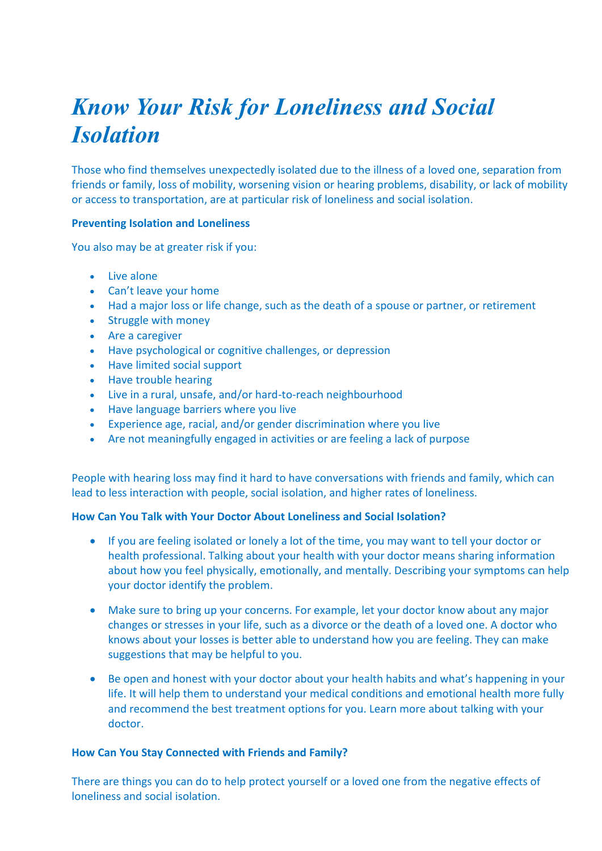# *Know Your Risk for Loneliness and Social Isolation*

Those who find themselves unexpectedly isolated due to the illness of a loved one, separation from friends or family, loss of mobility, worsening vision or hearing problems, disability, or lack of mobility or access to transportation, are at particular risk of loneliness and social isolation.

### **Preventing Isolation and Loneliness**

You also may be at greater risk if you:

- Live alone
- Can't leave your home
- Had a major loss or life change, such as the death of a spouse or partner, or retirement
- Struggle with money
- Are a caregiver
- Have psychological or cognitive challenges, or depression
- Have limited social support
- Have trouble hearing
- Live in a rural, unsafe, and/or hard-to-reach neighbourhood
- Have language barriers where you live
- Experience age, racial, and/or gender discrimination where you live
- Are not meaningfully engaged in activities or are feeling a lack of purpose

People with hearing loss may find it hard to have conversations with friends and family, which can lead to less interaction with people, social isolation, and higher rates of loneliness.

### **How Can You Talk with Your Doctor About Loneliness and Social Isolation?**

- If you are feeling isolated or lonely a lot of the time, you may want to tell your doctor or health professional. Talking about your health with your doctor means sharing information about how you feel physically, emotionally, and mentally. Describing your symptoms can help your doctor identify the problem.
- Make sure to bring up your concerns. For example, let your doctor know about any major changes or stresses in your life, such as a divorce or the death of a loved one. A doctor who knows about your losses is better able to understand how you are feeling. They can make suggestions that may be helpful to you.
- Be open and honest with your doctor about your health habits and what's happening in your life. It will help them to understand your medical conditions and emotional health more fully and recommend the best treatment options for you. Learn more about talking with your doctor.

### **How Can You Stay Connected with Friends and Family?**

There are things you can do to help protect yourself or a loved one from the negative effects of loneliness and social isolation.